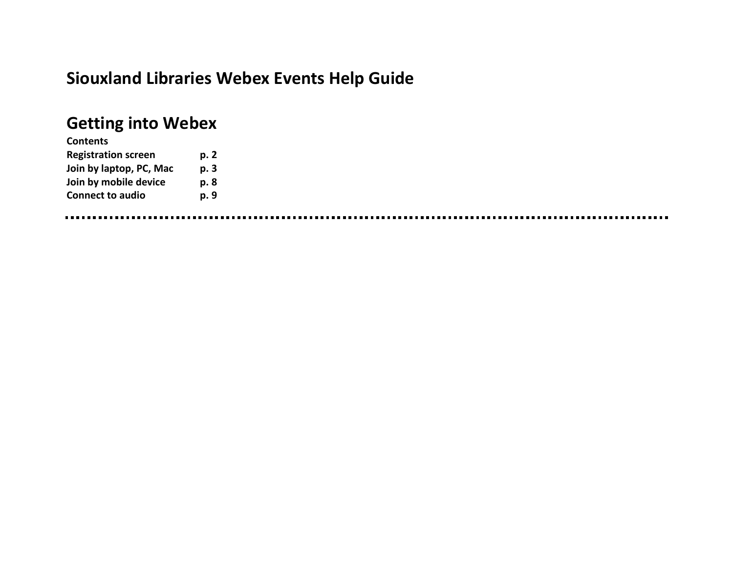# **Siouxland Libraries Webex Events Help Guide**

# **Getting into Webex**

| <b>Contents</b>            |      |
|----------------------------|------|
| <b>Registration screen</b> | p. 2 |
| Join by laptop, PC, Mac    | p. 3 |
| Join by mobile device      | p. 8 |
| <b>Connect to audio</b>    | p. 9 |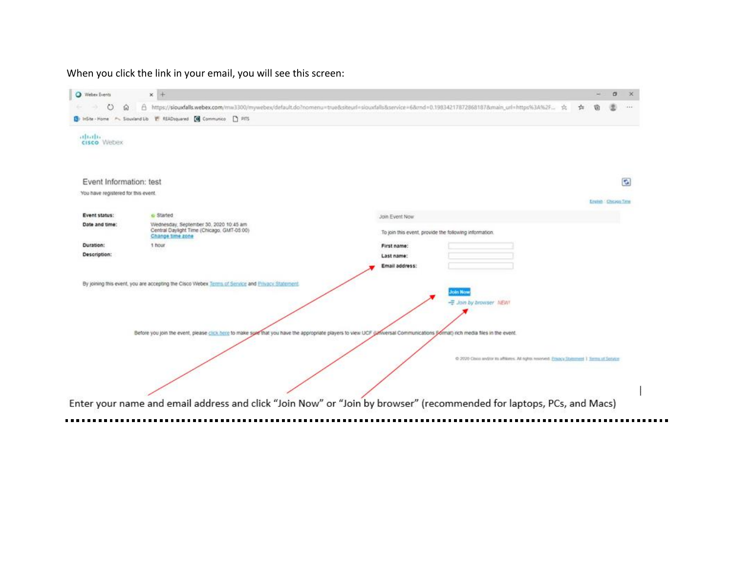#### When you click the link in your email, you will see this screen:

| Webex Events                        | x +                                                                                                      | σ<br>$\times$                                                                                                                                                               |
|-------------------------------------|----------------------------------------------------------------------------------------------------------|-----------------------------------------------------------------------------------------------------------------------------------------------------------------------------|
| O<br>$\Omega$                       |                                                                                                          | A https://siouxfalls.webex.com/mw3300/mywebex/default.do?nomenu=true8siteurl=siouxfalls8service=68rnd=0.198342178728681878main_url=https%3A%2F ☆<br>塩<br>1444               |
|                                     | [ InSite-Home P Slouiland Lib IT READsquared [ Communico   PITS                                          |                                                                                                                                                                             |
| attache.<br>cisco Webex             |                                                                                                          |                                                                                                                                                                             |
| Event Information: test             |                                                                                                          | G                                                                                                                                                                           |
| You have registered for this event. |                                                                                                          | English : Chicago Time                                                                                                                                                      |
| Event status:                       | o Started                                                                                                | Join Event Now                                                                                                                                                              |
| Date and time:                      | Wednesday, September 30, 2020 10:45 am<br>Central Daylight Time (Chicago, GMT-05:00)<br>Change time zone | To join this event, provide the following information.                                                                                                                      |
| Duration:                           | 1 hour                                                                                                   | First name:                                                                                                                                                                 |
| Description:                        |                                                                                                          | Last name:                                                                                                                                                                  |
|                                     |                                                                                                          | Email address:                                                                                                                                                              |
|                                     | By joining this event, you are accepting the Cisco Webex Terms of Service and Frivacy Statement.         | <b>Joint Now</b><br>- Join by browser NEW!                                                                                                                                  |
|                                     |                                                                                                          | Before you join the event, please click here to make sure that you have the appropriate players to view UCF (universal Communications Somat) rich media files in the event. |
|                                     |                                                                                                          | C 2020 Closs and/or its affiliates. All rights reserved. Financy Statement 1 Terms of Service                                                                               |
|                                     |                                                                                                          | Enter your name and email address and click "Join Now" or "Join by browser" (recommended for laptops, PCs, and Macs)                                                        |
|                                     |                                                                                                          |                                                                                                                                                                             |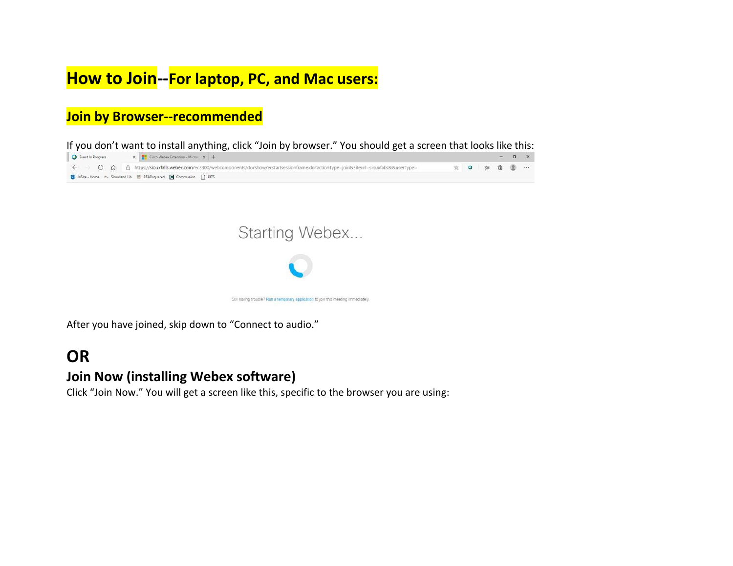## **How to Join--For laptop, PC, and Mac users:**

### **Join by Browser--recommended**

|                                                                 | If you don't want to install anything, click "Join by browser." You should get a screen that looks like this:                                                                               |             |  |             |
|-----------------------------------------------------------------|---------------------------------------------------------------------------------------------------------------------------------------------------------------------------------------------|-------------|--|-------------|
| Cisco Webex Extension - Microsin X                              |                                                                                                                                                                                             |             |  | $ 0 \times$ |
|                                                                 | $\leftarrow$ $\rightarrow$ $\circ$ $\Omega$ $\rightarrow$ https://siouxfalls.webex.com/ec3300/webcomponents/docshow/ecstartsessionframe.do?actionType=join8csiteurl=siouxfalls8¿8cuserType= | ☆ 0 ☆ @ ② … |  |             |
| SolinSite-Home P Siouxland Lib T READsquared C Communico n PITS |                                                                                                                                                                                             |             |  |             |



After you have joined, skip down to "Connect to audio."

### **OR**

#### **Join Now (installing Webex software)**

Click "Join Now." You will get a screen like this, specific to the browser you are using: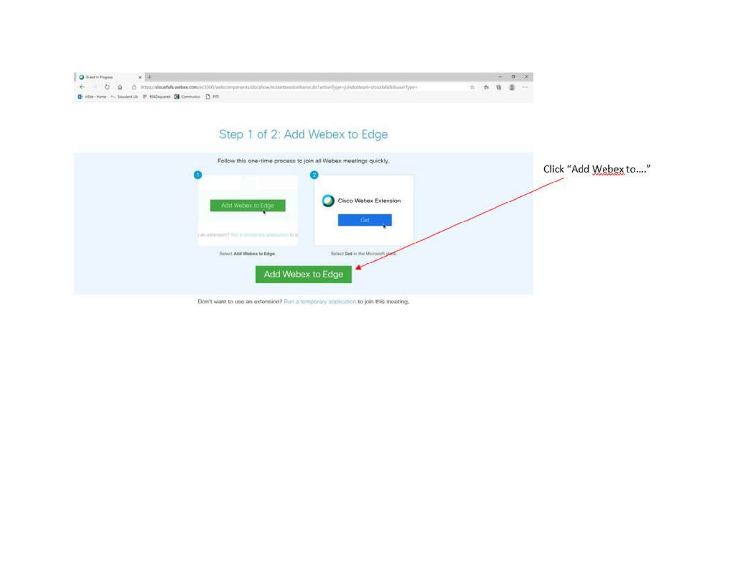| O Event's Progress |                                                                                                                                        |        |  |  |
|--------------------|----------------------------------------------------------------------------------------------------------------------------------------|--------|--|--|
|                    | + 0 @ B https://sloudalls.webex.com/ec3300/webcomponents/docshow/ecstartsessionframe.do?action/lype=join&siteurl=siouxfalls&&userType= | 立立着雷雪一 |  |  |
|                    | B India Home P. Souteville IT Ridmonest (@ Communics () Affi                                                                           |        |  |  |

### Step 1 of 2: Add Webex to Edge

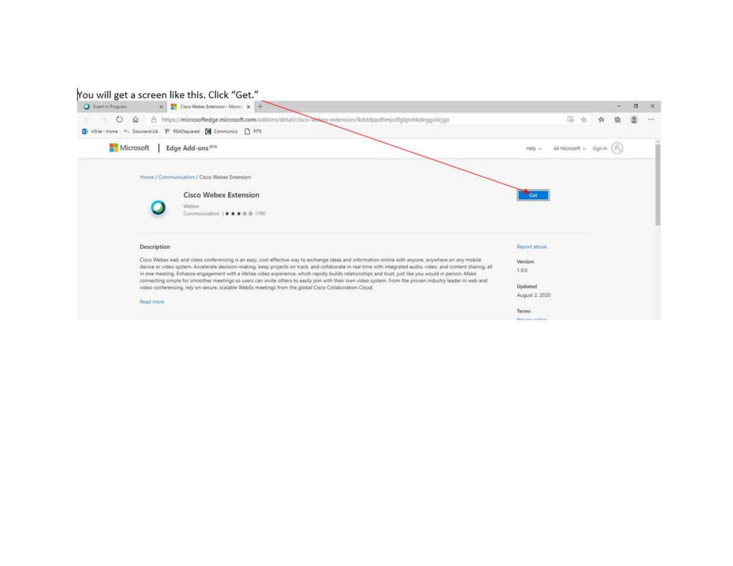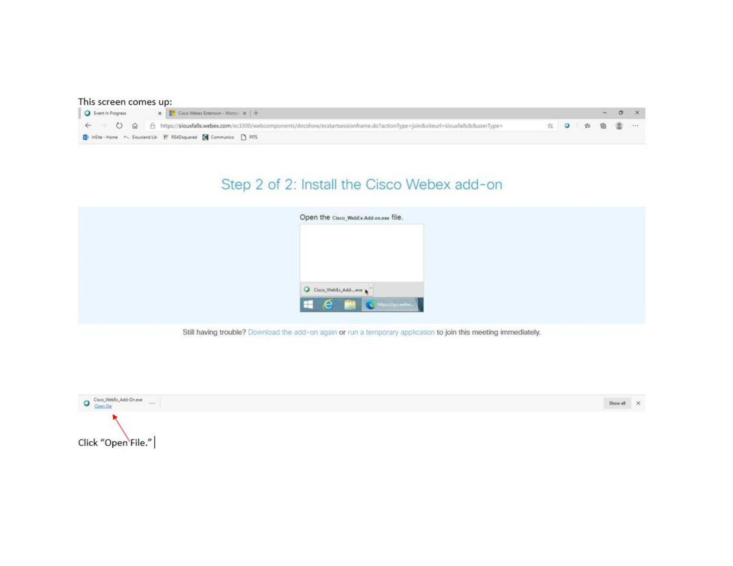#### This screen comes up:

| O Event In Progress | $X =$ Cisco Webex Extension - Micros. $X +$                                                                                              |  |             |  |  |
|---------------------|------------------------------------------------------------------------------------------------------------------------------------------|--|-------------|--|--|
|                     | ← → C @ A https://siouxfalls.webex.com/ec3300/webcomponents/docshow/ecstartsessionframe.do?actionType=join&siteurl=siouxfalls&&userType= |  | ☆ ◎ ☆ 卷 ⑧ … |  |  |
|                     | <b>B</b> ) InSite-Home M. Slouxland Lib IT READsquared <b>@</b> Communico 1 PITS                                                         |  |             |  |  |

### Step 2 of 2: Install the Cisco Webex add-on

| O Cisco_WebEx_Add_eve \ | Open the Cisco_WebEx-Add-on.exe file. |  |
|-------------------------|---------------------------------------|--|
|                         |                                       |  |
|                         |                                       |  |
|                         |                                       |  |
|                         | <b>E é a Chamada</b>                  |  |

Still having trouble? Download the add-on again or run a temporary application to join this meeting immediately.

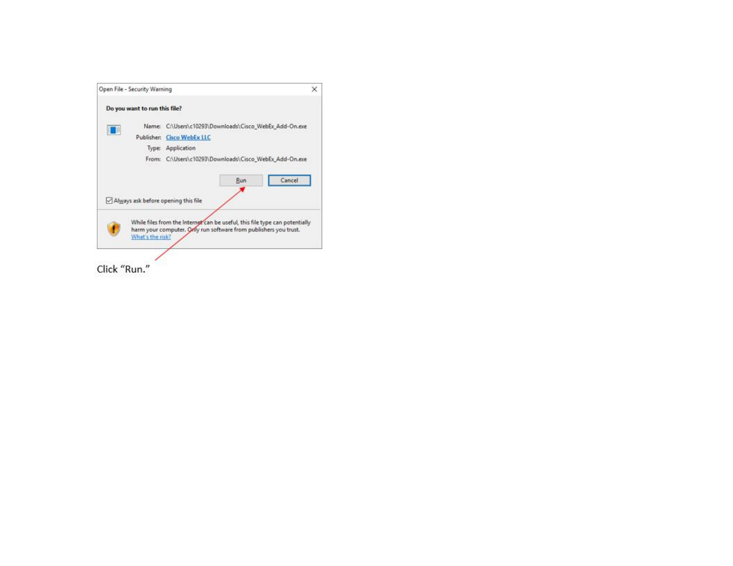

Click "Run."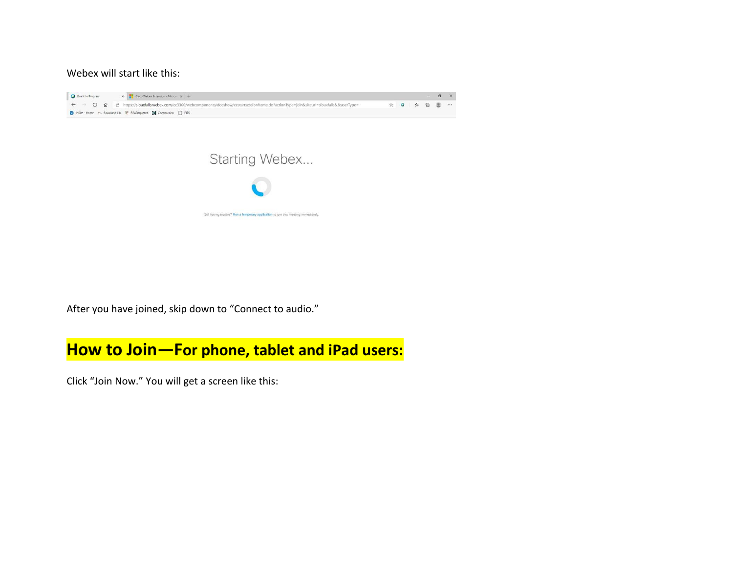Webex will start like this:





After you have joined, skip down to "Connect to audio."

### **How to Join—For phone, tablet and iPad users:**

Click "Join Now." You will get a screen like this: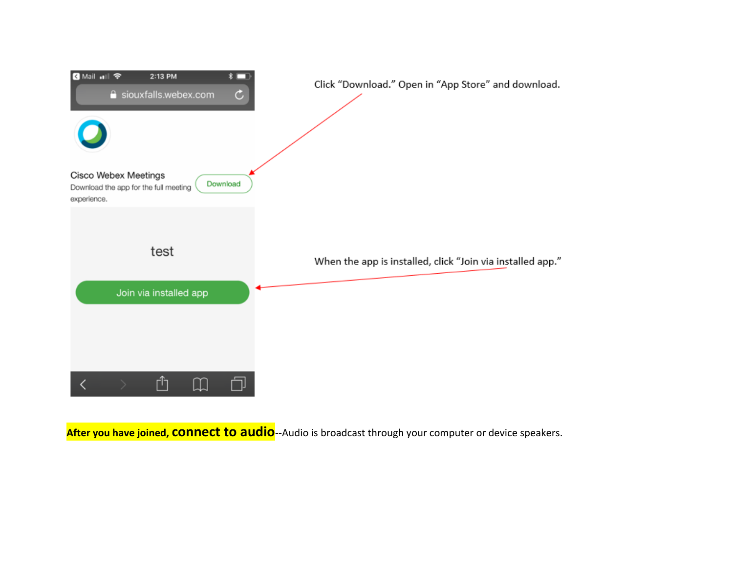

**After you have joined, connect to audio**--Audio is broadcast through your computer or device speakers.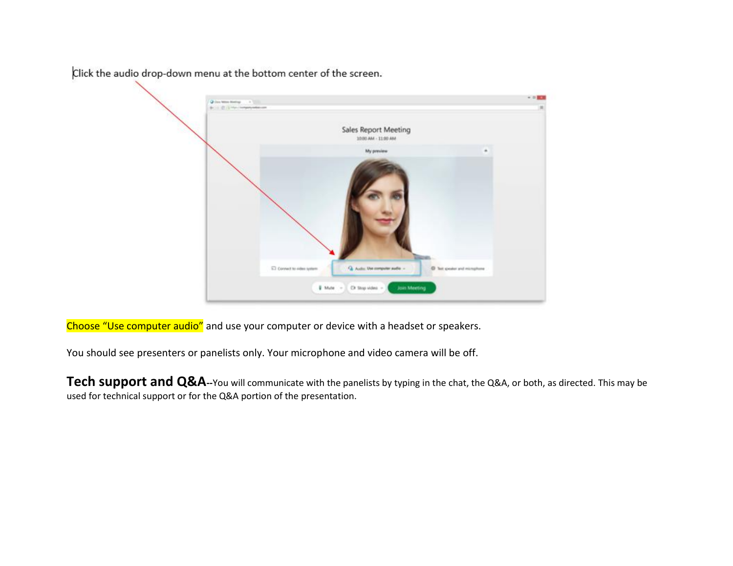O this television is a little **POLICIANA** Sales Report Meeting 1030 AM - 11:00 AM My preview C Connect to cideo system C Tell speaker and microph Q. Auto: Use company auto -**U** Mute Cir Stop video Join Meeting

Click the audio drop-down menu at the bottom center of the screen.

Choose "Use computer audio" and use your computer or device with a headset or speakers.

You should see presenters or panelists only. Your microphone and video camera will be off.

**Tech support and Q&A**--You will communicate with the panelists by typing in the chat, the Q&A, or both, as directed. This may be used for technical support or for the Q&A portion of the presentation.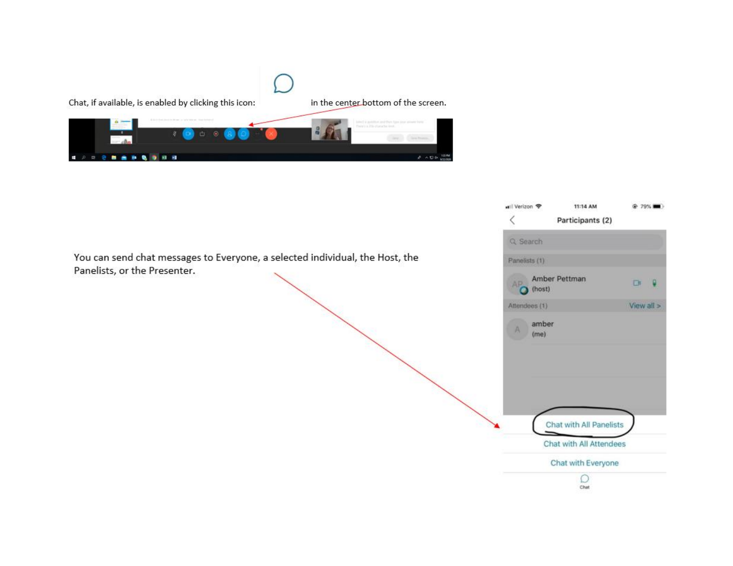